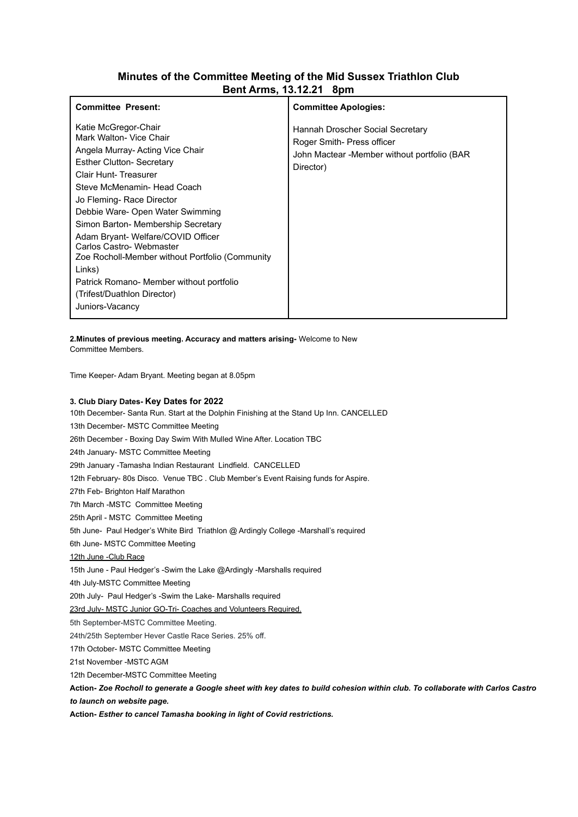## **Minutes of the Committee Meeting of the Mid Sussex Triathlon Club Bent Arms, 13.12.21 8pm**

| <b>Committee Present:</b>                                                                                                                                                                                                                                                                                                                                                                                                                                                                                         | <b>Committee Apologies:</b>                                                                                                |
|-------------------------------------------------------------------------------------------------------------------------------------------------------------------------------------------------------------------------------------------------------------------------------------------------------------------------------------------------------------------------------------------------------------------------------------------------------------------------------------------------------------------|----------------------------------------------------------------------------------------------------------------------------|
| Katie McGregor-Chair<br>Mark Walton- Vice Chair<br>Angela Murray-Acting Vice Chair<br><b>Esther Clutton- Secretary</b><br>Clair Hunt-Treasurer<br>Steve McMenamin- Head Coach<br>Jo Fleming- Race Director<br>Debbie Ware- Open Water Swimming<br>Simon Barton- Membership Secretary<br>Adam Bryant- Welfare/COVID Officer<br>Carlos Castro- Webmaster<br>Zoe Rocholl-Member without Portfolio (Community<br>Links)<br>Patrick Romano- Member without portfolio<br>(Trifest/Duathlon Director)<br>Juniors-Vacancy | Hannah Droscher Social Secretary<br>Roger Smith- Press officer<br>John Mactear -Member without portfolio (BAR<br>Director) |

**2.Minutes of previous meeting. Accuracy and matters arising-** Welcome to New

Committee Members.

Time Keeper- Adam Bryant. Meeting began at 8.05pm

## **3. Club Diary Dates- Key Dates for 2022**

10th December- Santa Run. Start at the Dolphin Finishing at the Stand Up Inn. CANCELLED 13th December- MSTC Committee Meeting 26th December - Boxing Day Swim With Mulled Wine After. Location TBC 24th January- MSTC Committee Meeting 29th January -Tamasha Indian Restaurant Lindfield. CANCELLED 12th February- 80s Disco. Venue TBC . Club Member's Event Raising funds for Aspire. 27th Feb- Brighton Half Marathon 7th March -MSTC Committee Meeting 25th April - MSTC Committee Meeting 5th June- Paul Hedger's White Bird Triathlon @ Ardingly College -Marshall's required 6th June- MSTC Committee Meeting 12th June -Club Race 15th June - Paul Hedger's -Swim the Lake @Ardingly -Marshalls required 4th July-MSTC Committee Meeting 20th July- Paul Hedger's -Swim the Lake- Marshalls required 23rd July- MSTC Junior GO-Tri- Coaches and Volunteers Required. 5th September-MSTC Committee Meeting. 24th/25th September Hever Castle Race Series. 25% off. 17th October- MSTC Committee Meeting 21st November -MSTC AGM 12th December-MSTC Committee Meeting Action- Zoe Rocholl to generate a Google sheet with key dates to build cohesion within club. To collaborate with Carlos Castro *to launch on website page.*

**Action-** *Esther to cancel Tamasha booking in light of Covid restrictions.*